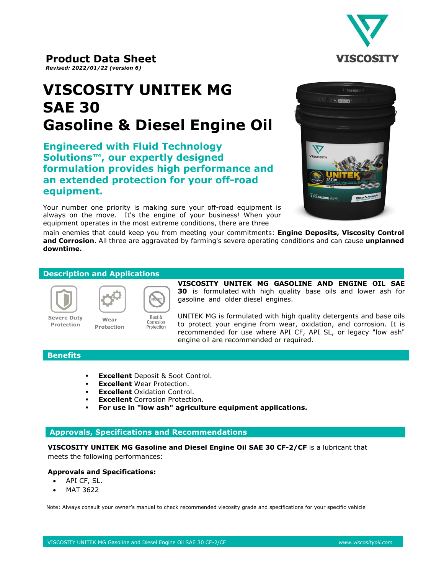

**Product Data Sheet**  *Revised: 2022/01/22 (version 6)*

# **VISCOSITY UNITEK MG SAE 30 Gasoline & Diesel Engine Oil**

**Engineered with Fluid Technology Solutions™, our expertly designed formulation provides high performance and an extended protection for your off-road equipment.** 

Your number one priority is making sure your off-road equipment is always on the move. It's the engine of your business! When your equipment operates in the most extreme conditions, there are three



main enemies that could keep you from meeting your commitments: **Engine Deposits, Viscosity Control and Corrosion**. All three are aggravated by farming's severe operating conditions and can cause **unplanned downtime.**

### **Description and Applications**

**Protection**



**Severe Duty Protection**



**VISCOSITY UNITEK MG GASOLINE AND ENGINE OIL SAE 30** is formulated with high quality base oils and lower ash for gasoline and older diesel engines.

UNITEK MG is formulated with high quality detergents and base oils to protect your engine from wear, oxidation, and corrosion. It is recommended for use where API CF, API SL, or legacy "low ash" engine oil are recommended or required.

## **Benefits**

**Excellent** Deposit & Soot Control.

Corrosion Protection

- **Excellent** Wear Protection.
- **Excellent** Oxidation Control.
- **Excellent** Corrosion Protection.
- **For use in "low ash" agriculture equipment applications.**

### **Approvals, Specifications and Recommendations**

**VISCOSITY UNITEK MG Gasoline and Diesel Engine Oil SAE 30 CF-2/CF** is a lubricant that meets the following performances:

### **Approvals and Specifications:**

- API CF, SL.
- MAT 3622

Note: Always consult your owner's manual to check recommended viscosity grade and specifications for your specific vehicle